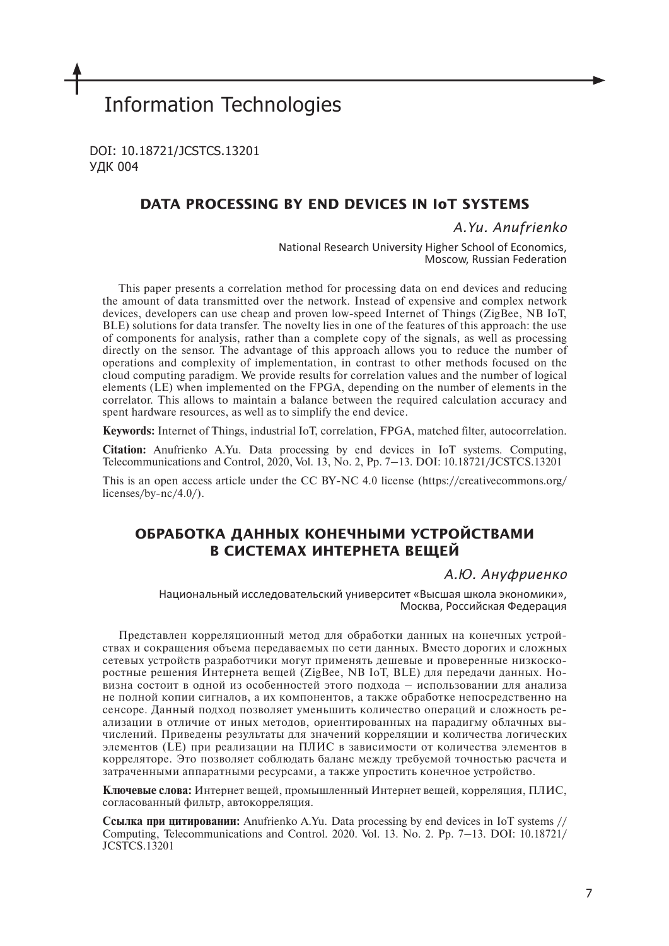# Information Technologies

DOI: 10.18721/JCSTCS.13201 УДК 004

## **DATA PROCESSING BY END DEVICES IN IoT SYSTEMS**

*A.Yu. Anufrienko*

National Research University Higher School of Economics, Moscow, Russian Federation

This paper presents a correlation method for processing data on end devices and reducing the amount of data transmitted over the network. Instead of expensive and complex network devices, developers can use cheap and proven low-speed Internet of Things (ZigBee, NB IoT, BLE) solutions for data transfer. The novelty lies in one of the features of this approach: the use of components for analysis, rather than a complete copy of the signals, as well as processing directly on the sensor. The advantage of this approach allows you to reduce the number of operations and complexity of implementation, in contrast to other methods focused on the cloud computing paradigm. We provide results for correlation values and the number of logical elements (LE) when implemented on the FPGA, depending on the number of elements in the correlator. This allows to maintain a balance between the required calculation accuracy and spent hardware resources, as well as to simplify the end device.

**Keywords:** Internet of Things, industrial IoT, correlation, FPGA, matched filter, autocorrelation.

**Citation:** Anufrienko A.Yu. Data processing by end devices in IoT systems. Computing, Telecommunications and Control, 2020, Vol. 13, No. 2, Pp. 7–13. DOI: 10.18721/JCSTCS.13201

This is an open access article under the CC BY-NC 4.0 license (https://creativecommons.org/ licenses/by-nc/4.0/).

# **ОБРАБОТКА ДАННЫХ КОНЕЧНЫМИ УСТРОЙСТВАМИ В СИСТЕМАХ ИНТЕРНЕТА ВЕЩЕЙ**

*А.Ю. Ануфриенко*

Национальный исследовательский университет «Высшая школа экономики», Москва, Российская Федерация

Представлен корреляционный метод для обработки данных на конечных устройствах и сокращения объема передаваемых по сети данных. Вместо дорогих и сложных сетевых устройств разработчики могут применять дешевые и проверенные низкоскоростные решения Интернета вещей (ZigBee, NB IoT, BLE) для передачи данных. Новизна состоит в одной из особенностей этого подхода – использовании для анализа не полной копии сигналов, а их компонентов, а также обработке непосредственно на сенсоре. Данный подход позволяет уменьшить количество операций и сложность реализации в отличие от иных методов, ориентированных на парадигму облачных вычислений. Приведены результаты для значений корреляции и количества логических элементов (LE) при реализации на ПЛИС в зависимости от количества элементов в корреляторе. Это позволяет соблюдать баланс между требуемой точностью расчета и затраченными аппаратными ресурсами, а также упростить конечное устройство.

**Ключевые слова:** Интернет вещей, промышленный Интернет вещей, корреляция, ПЛИС, согласованный фильтр, автокорреляция.

**Ссылка при цитировании:** Anufrienko A.Yu. Data processing by end devices in IoT systems // Computing, Telecommunications and Control. 2020. Vol. 13. No. 2. Pp. 7–13. DOI: 10.18721/ JCSTCS.13201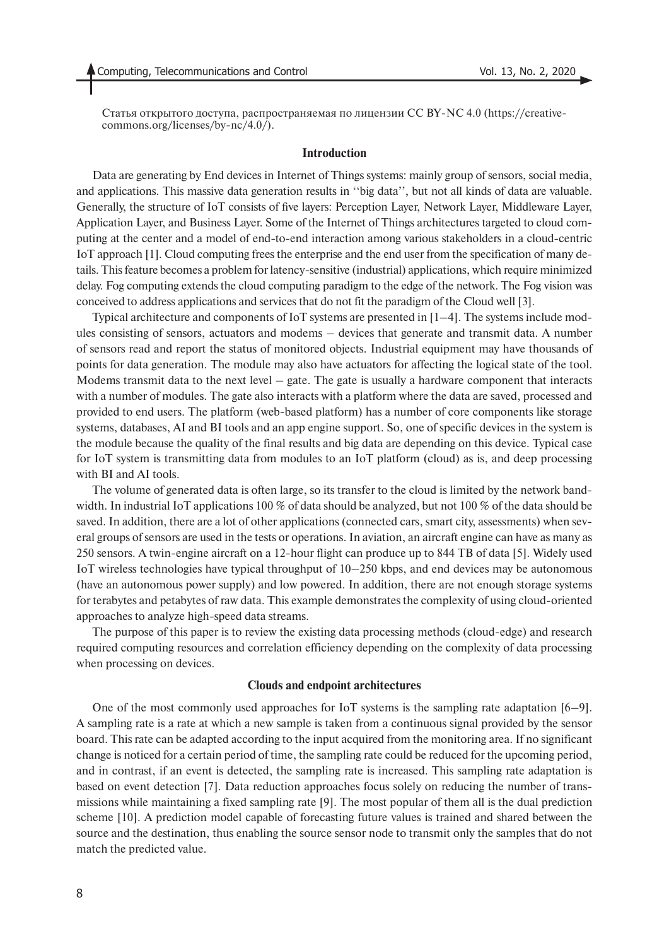Cтатья открытого доступа, распространяемая по лицензии CC BY-NC 4.0 (https://creativecommons.org/licenses/by-nc/4.0/).

### **Introduction**

Data are generating by End devices in Internet of Things systems: mainly group of sensors, social media, and applications. This massive data generation results in ''big data'', but not all kinds of data are valuable. Generally, the structure of IoT consists of five layers: Perception Layer, Network Layer, Middleware Layer, Application Layer, and Business Layer. Some of the Internet of Things architectures targeted to cloud computing at the center and a model of end-to-end interaction among various stakeholders in a cloud-centric IoT approach [1]. Cloud computing frees the enterprise and the end user from the specification of many details. This feature becomes a problem for latency-sensitive (industrial) applications, which require minimized delay. Fog computing extends the cloud computing paradigm to the edge of the network. The Fog vision was conceived to address applications and services that do not fit the paradigm of the Cloud well [3].

Typical architecture and components of IoT systems are presented in [1–4]. The systems include modules consisting of sensors, actuators and modems – devices that generate and transmit data. A number of sensors read and report the status of monitored objects. Industrial equipment may have thousands of points for data generation. The module may also have actuators for affecting the logical state of the tool. Modems transmit data to the next level  $-$  gate. The gate is usually a hardware component that interacts with a number of modules. The gate also interacts with a platform where the data are saved, processed and provided to end users. The platform (web-based platform) has a number of core components like storage systems, databases, AI and BI tools and an app engine support. So, one of specific devices in the system is the module because the quality of the final results and big data are depending on this device. Typical case for IoT system is transmitting data from modules to an IoT platform (cloud) as is, and deep processing with BI and AI tools.

The volume of generated data is often large, so its transfer to the cloud is limited by the network bandwidth. In industrial IoT applications 100 % of data should be analyzed, but not 100 % of the data should be saved. In addition, there are a lot of other applications (connected cars, smart city, assessments) when several groups of sensors are used in the tests or operations. In aviation, an aircraft engine can have as many as 250 sensors. A twin-engine aircraft on a 12-hour flight can produce up to 844 TB of data [5]. Widely used IoT wireless technologies have typical throughput of 10–250 kbps, and end devices may be autonomous (have an autonomous power supply) and low powered. In addition, there are not enough storage systems for terabytes and petabytes of raw data. This example demonstrates the complexity of using cloud-oriented approaches to analyze high-speed data streams.

The purpose of this paper is to review the existing data processing methods (cloud-edge) and research required computing resources and correlation efficiency depending on the complexity of data processing when processing on devices.

#### **Сlouds and endpoint architectures**

One of the most commonly used approaches for IoT systems is the sampling rate adaptation [6–9]. A sampling rate is a rate at which a new sample is taken from a continuous signal provided by the sensor board. This rate can be adapted according to the input acquired from the monitoring area. If no significant change is noticed for a certain period of time, the sampling rate could be reduced for the upcoming period, and in contrast, if an event is detected, the sampling rate is increased. This sampling rate adaptation is based on event detection [7]. Data reduction approaches focus solely on reducing the number of transmissions while maintaining a fixed sampling rate [9]. The most popular of them all is the dual prediction scheme [10]. A prediction model capable of forecasting future values is trained and shared between the source and the destination, thus enabling the source sensor node to transmit only the samples that do not match the predicted value.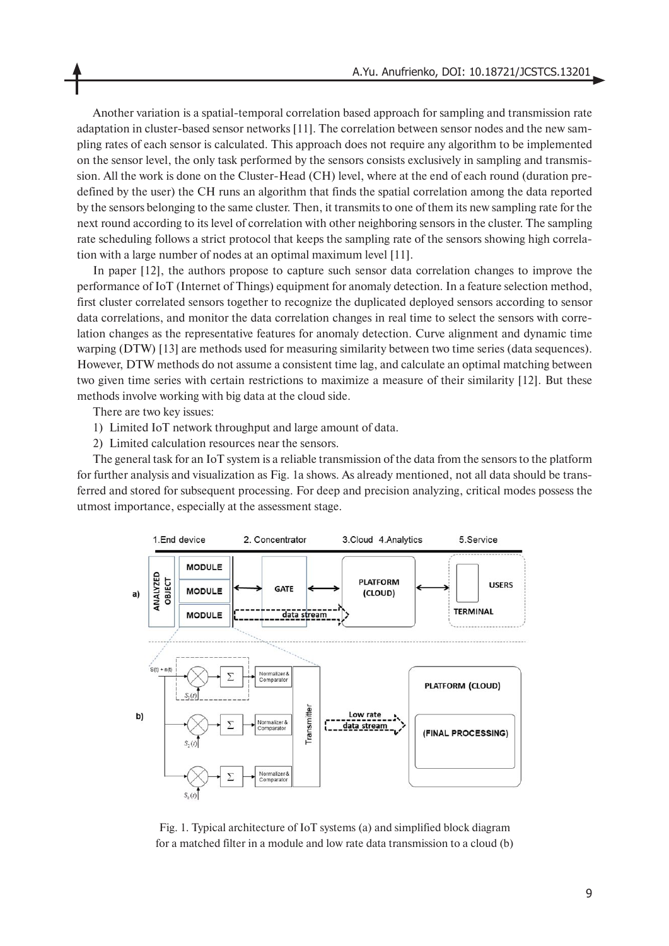Another variation is a spatial-temporal correlation based approach for sampling and transmission rate adaptation in cluster-based sensor networks [11]. The correlation between sensor nodes and the new sampling rates of each sensor is calculated. This approach does not require any algorithm to be implemented on the sensor level, the only task performed by the sensors consists exclusively in sampling and transmission. All the work is done on the Cluster-Head (CH) level, where at the end of each round (duration predefined by the user) the CH runs an algorithm that finds the spatial correlation among the data reported by the sensors belonging to the same cluster. Then, it transmits to one of them its new sampling rate for the next round according to its level of correlation with other neighboring sensors in the cluster. The sampling rate scheduling follows a strict protocol that keeps the sampling rate of the sensors showing high correlation with a large number of nodes at an optimal maximum level [11].

In paper [12], the authors propose to capture such sensor data correlation changes to improve the performance of IoT (Internet of Things) equipment for anomaly detection. In a feature selection method, first cluster correlated sensors together to recognize the duplicated deployed sensors according to sensor data correlations, and monitor the data correlation changes in real time to select the sensors with correlation changes as the representative features for anomaly detection. Curve alignment and dynamic time warping (DTW) [13] are methods used for measuring similarity between two time series (data sequences). However, DTW methods do not assume a consistent time lag, and calculate an optimal matching between two given time series with certain restrictions to maximize a measure of their similarity [12]. But these methods involve working with big data at the cloud side.

There are two key issues:

- 1) Limited IoT network throughput and large amount of data.
- 2) Limited calculation resources near the sensors.

The general task for an IoT system is a reliable transmission of the data from the sensors to the platform for further analysis and visualization as Fig. 1a shows. As already mentioned, not all data should be transferred and stored for subsequent processing. For deep and precision analyzing, critical modes possess the utmost importance, especially at the assessment stage.



Fig. 1. Typical architecture of IoT systems (a) and simplified block diagram for a matched filter in a module and low rate data transmission to a cloud (b)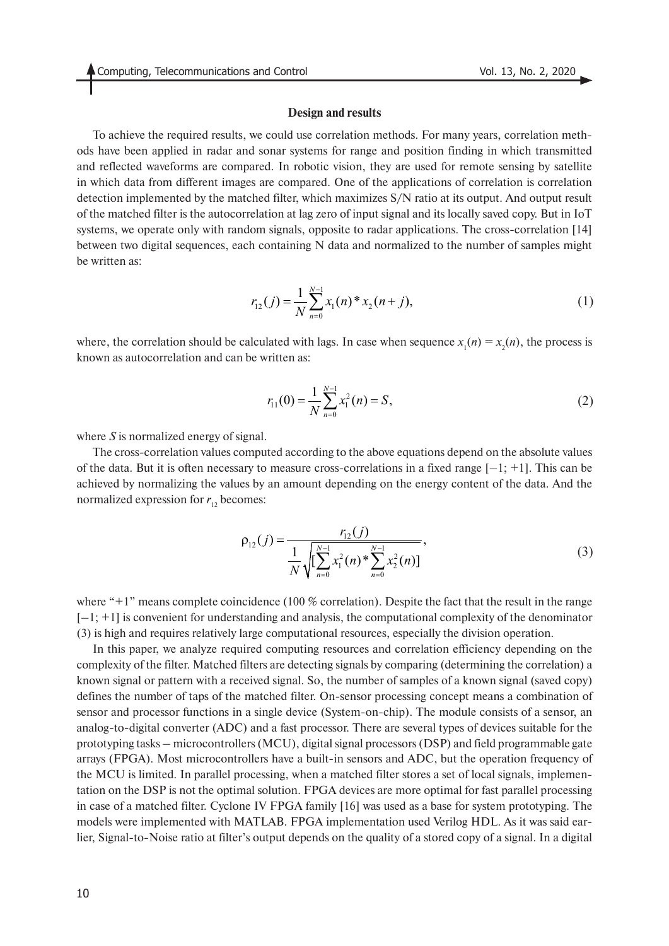#### **Design and results**

To achieve the required results, we could use correlation methods. For many years, correlation methods have been applied in radar and sonar systems for range and position finding in which transmitted and reflected waveforms are compared. In robotic vision, they are used for remote sensing by satellite in which data from different images are compared. One of the applications of correlation is correlation detection implemented by the matched filter, which maximizes S/N ratio at its output. And output result of the matched filter is the autocorrelation at lag zero of input signal and its locally saved copy. But in IoT systems, we operate only with random signals, opposite to radar applications. The cross-correlation [14] between two digital sequences, each containing N data and normalized to the number of samples might be written as:

$$
r_{12}(j) = \frac{1}{N} \sum_{n=0}^{N-1} x_1(n) * x_2(n+j),
$$
\n(1)

where, the correlation should be calculated with lags. In case when sequence  $x_1(n) = x_2(n)$ , the process is known as autocorrelation and can be written as:

$$
r_{11}(0) = \frac{1}{N} \sum_{n=0}^{N-1} x_1^2(n) = S,
$$
\n(2)

where *S* is normalized energy of signal.

The cross-correlation values computed according to the above equations depend on the absolute values of the data. But it is often necessary to measure cross-correlations in a fixed range  $[-1; +1]$ . This can be achieved by normalizing the values by an amount depending on the energy content of the data. And the normalized expression for  $r_{12}$  becomes:

$$
\rho_{12}(j) = \frac{r_{12}(j)}{\frac{1}{N}\sqrt{\left[\sum_{n=0}^{N-1} x_1^2(n) * \sum_{n=0}^{N-1} x_2^2(n)\right]}},\tag{3}
$$

where "+1" means complete coincidence (100 % correlation). Despite the fact that the result in the range  $[-1; +1]$  is convenient for understanding and analysis, the computational complexity of the denominator (3) is high and requires relatively large computational resources, especially the division operation.

In this paper, we analyze required computing resources and correlation efficiency depending on the complexity of the filter. Matched filters are detecting signals by comparing (determining the correlation) a known signal or pattern with a received signal. So, the number of samples of a known signal (saved copy) defines the number of taps of the matched filter. On-sensor processing concept means a combination of sensor and processor functions in a single device (System-on-chip). The module consists of a sensor, an analog-to-digital converter (ADC) and a fast processor. There are several types of devices suitable for the prototyping tasks – microcontrollers (MCU), digital signal processors (DSP) and field programmable gate arrays (FPGA). Most microcontrollers have a built-in sensors and ADC, but the operation frequency of the MCU is limited. In parallel processing, when a matched filter stores a set of local signals, implementation on the DSP is not the optimal solution. FPGA devices are more optimal for fast parallel processing in case of a matched filter. Cyclone IV FPGA family [16] was used as a base for system prototyping. The models were implemented with MATLAB. FPGA implementation used Verilog HDL. As it was said earlier, Signal-to-Noise ratio at filter's output depends on the quality of a stored copy of a signal. In a digital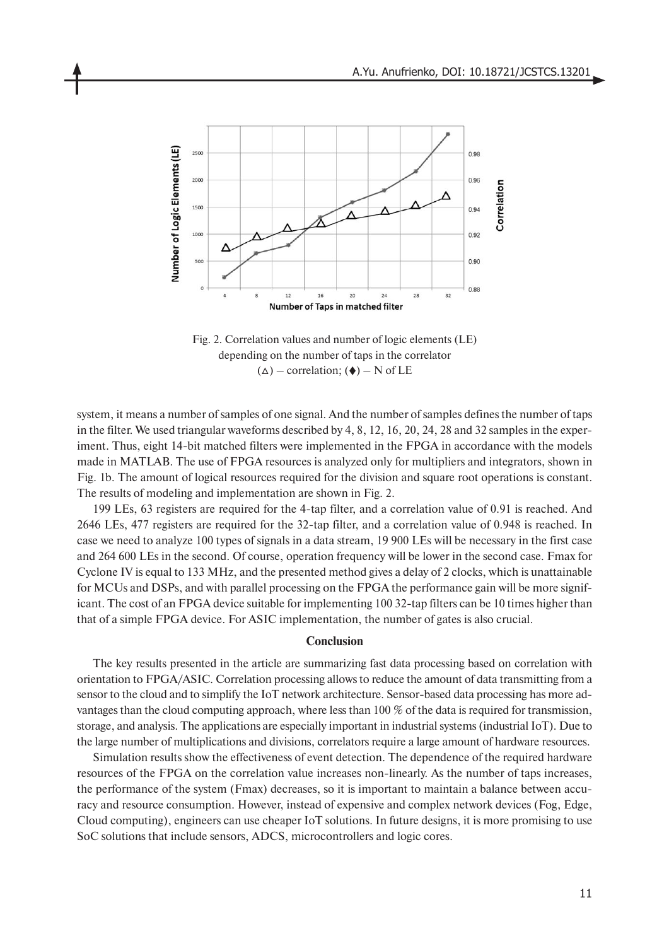

Fig. 2. Correlation values and number of logic elements (LE) depending on the number of taps in the correlator  $(\triangle)$  – correlation;  $(\triangle)$  – N of LE

system, it means a number of samples of one signal. And the number of samples defines the number of taps in the filter. We used triangular waveforms described by 4, 8, 12, 16, 20, 24, 28 and 32 samples in the experiment. Thus, eight 14-bit matched filters were implemented in the FPGA in accordance with the models made in MATLAB. The use of FPGA resources is analyzed only for multipliers and integrators, shown in Fig. 1b. The amount of logical resources required for the division and square root operations is constant. The results of modeling and implementation are shown in Fig. 2.

199 LEs, 63 registers are required for the 4-tap filter, and a correlation value of 0.91 is reached. And 2646 LEs, 477 registers are required for the 32-tap filter, and a correlation value of 0.948 is reached. In case we need to analyze 100 types of signals in a data stream, 19 900 LEs will be necessary in the first case and 264 600 LEs in the second. Of course, operation frequency will be lower in the second case. Fmax for Cyclone IV is equal to 133 MHz, and the presented method gives a delay of 2 clocks, which is unattainable for MCUs and DSPs, and with parallel processing on the FPGA the performance gain will be more significant. The cost of an FPGA device suitable for implementing 100 32-tap filters can be 10 times higher than that of a simple FPGA device. For ASIC implementation, the number of gates is also crucial.

#### **Conclusion**

The key results presented in the article are summarizing fast data processing based on correlation with orientation to FPGA/ASIC. Correlation processing allows to reduce the amount of data transmitting from a sensor to the cloud and to simplify the IoT network architecture. Sensor-based data processing has more advantages than the cloud computing approach, where less than 100 % of the data is required for transmission, storage, and analysis. The applications are especially important in industrial systems (industrial IoT). Due to the large number of multiplications and divisions, correlators require a large amount of hardware resources.

Simulation results show the effectiveness of event detection. The dependence of the required hardware resources of the FPGA on the correlation value increases non-linearly. As the number of taps increases, the performance of the system (Fmax) decreases, so it is important to maintain a balance between accuracy and resource consumption. However, instead of expensive and complex network devices (Fog, Edge, Cloud computing), engineers can use cheaper IoT solutions. In future designs, it is more promising to use SoC solutions that include sensors, ADCS, microcontrollers and logic cores.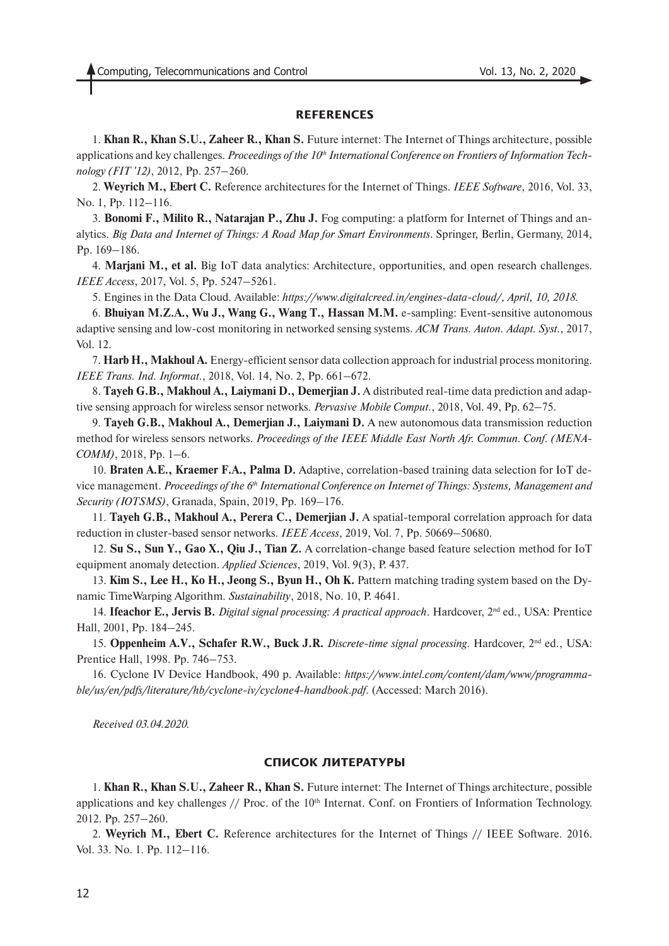#### **REFERENCES**

1. **Khan R., Khan S.U., Zaheer R., Khan S.** Future internet: The Internet of Things architecture, possible applications and key challenges. *Proceedings of the 10<sup>th</sup> International Conference on Frontiers of Information Technology (FIT '12)*, 2012, Pp. 257–260.

2. **Weyrich M., Ebert C.** Reference architectures for the Internet of Things. *IEEE Software*, 2016, Vol. 33, No. 1, Pp. 112–116.

3. **Bonomi F., Milito R., Natarajan P., Zhu J.** Fog computing: a platform for Internet of Things and analytics. *Big Data and Internet of Things: A Road Map for Smart Environments*. Springer, Berlin, Germany, 2014, Pp. 169–186.

4. **Marjani M., et al.** Big IoT data analytics: Architecture, opportunities, and open research challenges. *IEEE Access*, 2017, Vol. 5, Pp. 5247–5261.

5. Engines in the Data Cloud. Available: *https://www.digitalcreed.in/engines-data-cloud/, April, 10, 2018.*

6. **Bhuiyan M.Z.A., Wu J., Wang G., Wang T., Hassan M.M.** e-sampling: Event-sensitive autonomous adaptive sensing and low-cost monitoring in networked sensing systems. *ACM Trans. Auton. Adapt. Syst.*, 2017, Vol. 12.

7. **Harb H., Makhoul A.** Energy-efficient sensor data collection approach for industrial process monitoring. *IEEE Trans. Ind. Informat.*, 2018, Vol. 14, No. 2, Pp. 661–672.

8. **Tayeh G.B., Makhoul A., Laiymani D., Demerjian J.** A distributed real-time data prediction and adaptive sensing approach for wireless sensor networks. *Pervasive Mobile Comput.*, 2018, Vol. 49, Pp. 62–75.

9. **Tayeh G.B., Makhoul A., Demerjian J., Laiymani D.** A new autonomous data transmission reduction method for wireless sensors networks. *Proceedings of the IEEE Middle East North Afr. Commun. Conf. (MENA-COMM)*, 2018, Pp. 1–6.

10. **Braten A.E., Kraemer F.A., Palma D.** Adaptive, correlation-based training data selection for IoT device management. *Proceedings of the 6th International Conference on Internet of Things: Systems, Management and Security (IOTSMS)*, Granada, Spain, 2019, Pp. 169–176.

11. **Tayeh G.B., Makhoul A., Perera C., Demerjian J.** A spatial-temporal correlation approach for data reduction in cluster-based sensor networks. *IEEE Access*, 2019, Vol. 7, Pp. 50669–50680.

12. **Su S., Sun Y., Gao X., Qiu J., Tian Z.** A correlation-change based feature selection method for IoT equipment anomaly detection. *Applied Sciences*, 2019, Vol. 9(3), P. 437.

13. **Kim S., Lee H., Ko H., Jeong S., Byun H., Oh K.** Pattern matching trading system based on the Dynamic TimeWarping Algorithm. *Sustainability*, 2018, No. 10, P. 4641.

14. **Ifeachor E., Jervis B.** *Digital signal processing: A practical approach*. Hardcover, 2nd ed., USA: Prentice Hall, 2001, Pp. 184–245.

15. **Oppenheim A.V., Schafer R.W., Buck J.R.** *Discrete-time signal processing*. Hardcover, 2nd ed., USA: Prentice Hall, 1998. Pp. 746–753.

16. Cyclone IV Device Handbook, 490 p. Available: *https://www.intel.com/content/dam/www/programmable/us/en/pdfs/literature/hb/cyclone-iv/cyclone4-handbook.pdf.* (Accessed: March 2016).

*Received 03.04.2020.*

#### **СПИСОК ЛИТЕРАТУРЫ**

1. **Khan R., Khan S.U., Zaheer R., Khan S.** Future internet: The Internet of Things architecture, possible applications and key challenges  $//$  Proc. of the  $10<sup>th</sup>$  Internat. Conf. on Frontiers of Information Technology. 2012. Pp. 257–260.

2. **Weyrich M., Ebert C.** Reference architectures for the Internet of Things // IEEE Software. 2016. Vol. 33. No. 1. Pp. 112–116.